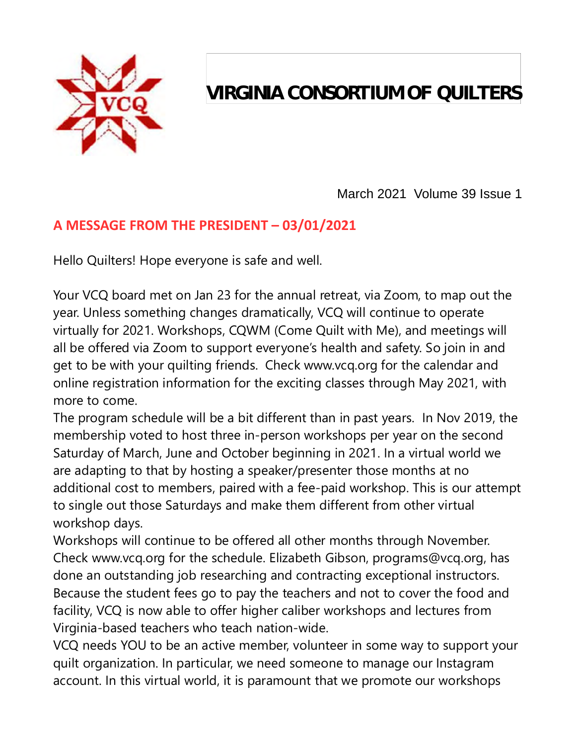

# **VIRGINIA CONSORTIUM OF QUILTERS**

March 2021 Volume 39 Issue 1

## **A MESSAGE FROM THE PRESIDENT – 03/01/2021**

Hello Quilters! Hope everyone is safe and well.

Your VCQ board met on Jan 23 for the annual retreat, via Zoom, to map out the year. Unless something changes dramatically, VCQ will continue to operate virtually for 2021. Workshops, CQWM (Come Quilt with Me), and meetings will all be offered via Zoom to support everyone's health and safety. So join in and get to be with your quilting friends. Check www.vcq.org for the calendar and online registration information for the exciting classes through May 2021, with more to come.

The program schedule will be a bit different than in past years. In Nov 2019, the membership voted to host three in-person workshops per year on the second Saturday of March, June and October beginning in 2021. In a virtual world we are adapting to that by hosting a speaker/presenter those months at no additional cost to members, paired with a fee-paid workshop. This is our attempt to single out those Saturdays and make them different from other virtual workshop days.

Workshops will continue to be offered all other months through November. Check www.vcq.org for the schedule. Elizabeth Gibson, programs@vcq.org, has done an outstanding job researching and contracting exceptional instructors. Because the student fees go to pay the teachers and not to cover the food and facility, VCQ is now able to offer higher caliber workshops and lectures from Virginia-based teachers who teach nation-wide.

VCQ needs YOU to be an active member, volunteer in some way to support your quilt organization. In particular, we need someone to manage our Instagram account. In this virtual world, it is paramount that we promote our workshops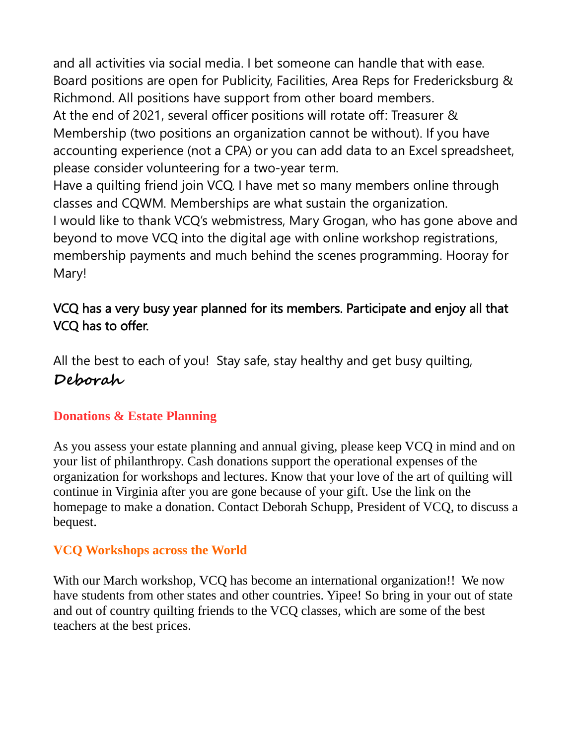and all activities via social media. I bet someone can handle that with ease. Board positions are open for Publicity, Facilities, Area Reps for Fredericksburg & Richmond. All positions have support from other board members. At the end of 2021, several officer positions will rotate off: Treasurer & Membership (two positions an organization cannot be without). If you have accounting experience (not a CPA) or you can add data to an Excel spreadsheet, please consider volunteering for a two-year term. Have a quilting friend join VCQ. I have met so many members online through classes and CQWM. Memberships are what sustain the organization. I would like to thank VCQ's webmistress, Mary Grogan, who has gone above and beyond to move VCQ into the digital age with online workshop registrations,

membership payments and much behind the scenes programming. Hooray for Mary!

### VCQ has a very busy year planned for its members. Participate and enjoy all that VCQ has to offer.

All the best to each of you! Stay safe, stay healthy and get busy quilting, **Deborah** 

### **Donations & Estate Planning**

As you assess your estate planning and annual giving, please keep VCQ in mind and on your list of philanthropy. Cash donations support the operational expenses of the organization for workshops and lectures. Know that your love of the art of quilting will continue in Virginia after you are gone because of your gift. Use the link on the homepage to make a donation. Contact Deborah Schupp, President of VCQ, to discuss a bequest.

#### **VCQ Workshops across the World**

With our March workshop, VCQ has become an international organization!! We now have students from other states and other countries. Yipee! So bring in your out of state and out of country quilting friends to the VCQ classes, which are some of the best teachers at the best prices.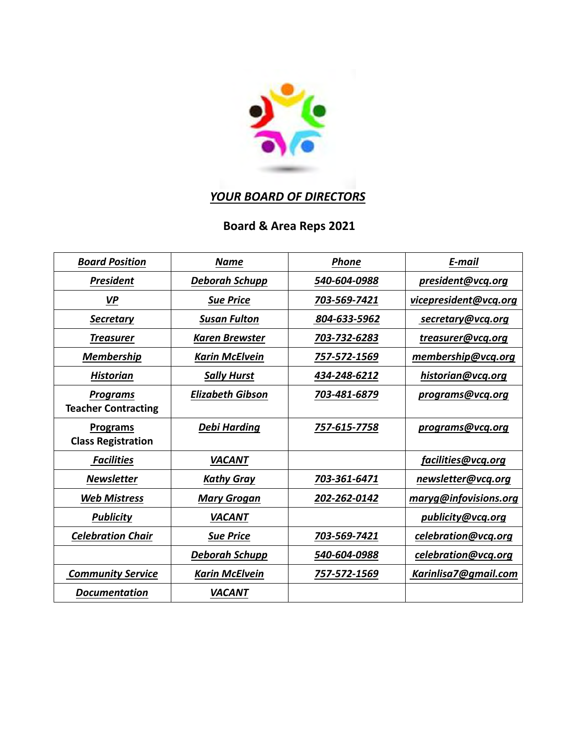

## *YOUR BOARD OF DIRECTORS*

## **Board & Area Reps 2021**

| <b>Board Position</b>                         | <b>Name</b>             | <b>Phone</b> | E-mail                |
|-----------------------------------------------|-------------------------|--------------|-----------------------|
| <b>President</b>                              | <b>Deborah Schupp</b>   | 540-604-0988 | president@vcq.org     |
| VP                                            | <b>Sue Price</b>        | 703-569-7421 | vicepresident@vcq.org |
| <b>Secretary</b>                              | <b>Susan Fulton</b>     | 804-633-5962 | secretary@vcq.org     |
| <b>Treasurer</b>                              | <b>Karen Brewster</b>   | 703-732-6283 | treasurer@vcq.org     |
| <b>Membership</b>                             | <b>Karin McElvein</b>   | 757-572-1569 | membership@vcq.org    |
| <b>Historian</b>                              | <b>Sally Hurst</b>      | 434-248-6212 | historian@vcq.org     |
| <b>Programs</b><br><b>Teacher Contracting</b> | <b>Elizabeth Gibson</b> | 703-481-6879 | programs@vcq.org      |
| <b>Programs</b><br><b>Class Registration</b>  | <b>Debi Harding</b>     | 757-615-7758 | programs@vcq.org      |
| <b>Facilities</b>                             | <b>VACANT</b>           |              | facilities@vcq.org    |
| <b>Newsletter</b>                             | <b>Kathy Gray</b>       | 703-361-6471 | newsletter@vcq.org    |
| <b>Web Mistress</b>                           | <b>Mary Grogan</b>      | 202-262-0142 | maryg@infovisions.org |
| <b>Publicity</b>                              | <b>VACANT</b>           |              | publicity@vcq.org     |
| <b>Celebration Chair</b>                      | <b>Sue Price</b>        | 703-569-7421 | celebration@vcq.org   |
|                                               | <b>Deborah Schupp</b>   | 540-604-0988 | celebration@vcq.org   |
| <b>Community Service</b>                      | <b>Karin McElvein</b>   | 757-572-1569 | Karinlisa7@gmail.com  |
| <b>Documentation</b>                          | <b>VACANT</b>           |              |                       |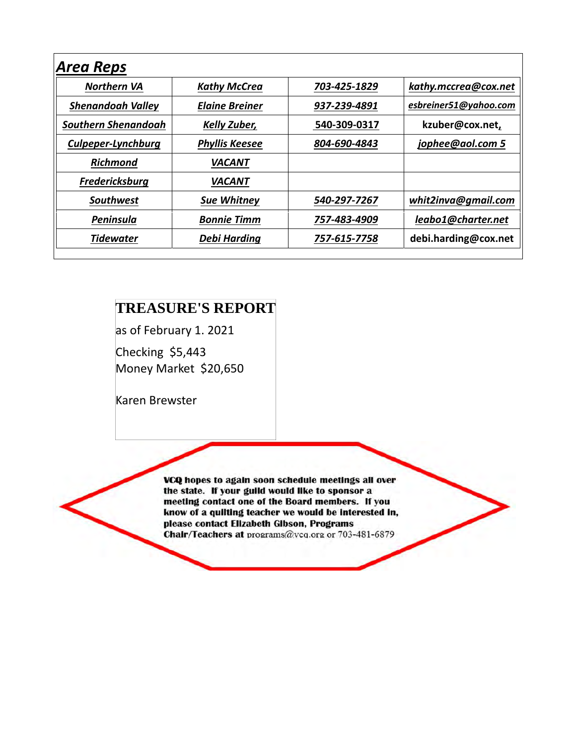| <b>Kathy McCrea</b>   | 703-425-1829 | kathy.mccrea@cox.net  |
|-----------------------|--------------|-----------------------|
| <b>Elaine Breiner</b> | 937-239-4891 | esbreiner51@yahoo.com |
| <b>Kelly Zuber,</b>   | 540-309-0317 | kzuber@cox.net,       |
| <b>Phyllis Keesee</b> | 804-690-4843 | jophee@aol.com 5      |
| <b>VACANT</b>         |              |                       |
| <i><b>VACANT</b></i>  |              |                       |
| <b>Sue Whitney</b>    | 540-297-7267 | whit2inva@gmail.com   |
| <b>Bonnie Timm</b>    | 757-483-4909 | leabo1@charter.net    |
| Debi Harding          | 757-615-7758 | debi.harding@cox.net  |
|                       |              |                       |

## **TREASURE'S REPORT**

as of February 1. 2021

Checking \$5,443 Money Market \$20,650

Karen Brewster

VCQ hopes to again soon schedule meetings all over the state. If your guild would like to sponsor a meeting contact one of the Board members. If you know of a quilting teacher we would be interested in, please contact Elizabeth Gibson, Programs Chair/Teachers at programs@vcq.org or 703-481-6879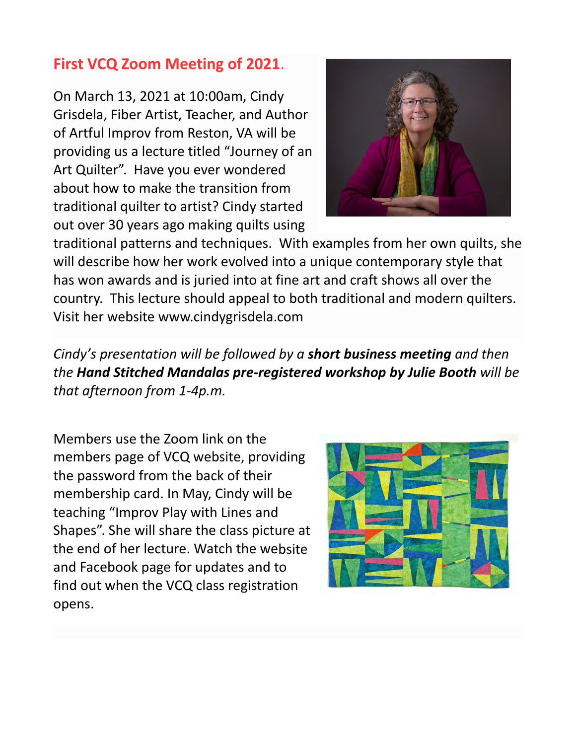## **First VCQ Zoom Meeting of 2021**.

On March 13, 2021 at 10:00am, Cindy Grisdela, Fiber Artist, Teacher, and Author of Artful Improv from Reston, VA will be providing us a lecture titled "Journey of an Art Quilter". Have you ever wondered about how to make the transition from traditional quilter to artist? Cindy started out over 30 years ago making quilts using



traditional patterns and techniques. With examples from her own quilts, she will describe how her work evolved into a unique contemporary style that has won awards and is juried into at fine art and craft shows all over the country. This lecture should appeal to both traditional and modern quilters. Visit her website www.cindygrisdela.com

*Cindy's presentation will be followed by a short business meeting and then the Hand Stitched Mandalas pre-registered workshop by Julie Booth will be that afternoon from 1-4p.m.* 

Members use the Zoom link on the members page of VCQ website, providing the password from the back of their membership card. In May, Cindy will be teaching "Improv Play with Lines and Shapes". She will share the class picture at the end of her lecture. Watch the website and Facebook page for updates and to find out when the VCQ class registration opens.

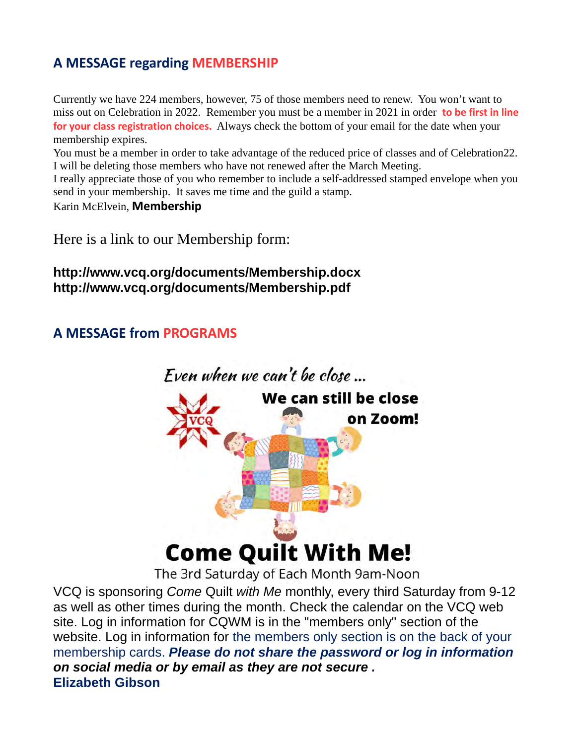### **A MESSAGE regarding MEMBERSHIP**

Currently we have 224 members, however, 75 of those members need to renew. You won't want to miss out on Celebration in 2022. Remember you must be a member in 2021 in order **to be first in line for your class registration choices.** Always check the bottom of your email for the date when your membership expires.

You must be a member in order to take advantage of the reduced price of classes and of Celebration22. I will be deleting those members who have not renewed after the March Meeting.

I really appreciate those of you who remember to include a self-addressed stamped envelope when you send in your membership. It saves me time and the guild a stamp.

Karin McElvein, **Membership**

Here is a link to our Membership form:

#### **http://www.vcq.org/documents/Membership.docx http://www.vcq.org/documents/Membership.pdf**

### **A MESSAGE from PROGRAMS**



The 3rd Saturday of Each Month 9am-Noon

VCQ is sponsoring *Come* Quilt *with Me* monthly, every third Saturday from 9-12 as well as other times during the month. Check the calendar on the VCQ web site. Log in information for CQWM is in the "members only" section of the website. Log in information for the members only section is on the back of your membership cards. *Please do not share the password or log in information on social media or by email as they are not secure .* **Elizabeth Gibson**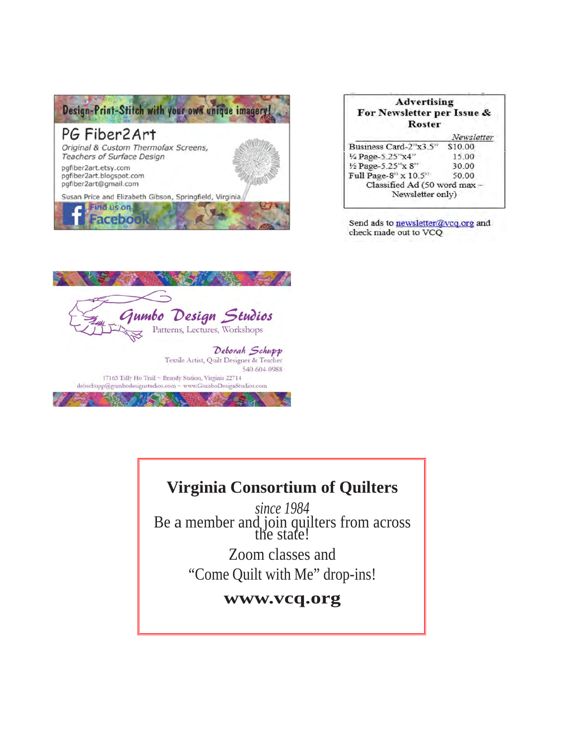

| <b>Advertising</b><br>For Newsletter per Issue &<br><b>Roster</b> |            |
|-------------------------------------------------------------------|------------|
|                                                                   | Newsletter |
| Business Card-2"x3.5"                                             | \$10.00    |
| 1/4 Page-5.25"x4"                                                 | 15.00      |
| 1/2 Page-5.25"x 8"                                                | 30.00      |
| Full Page-8" x 10.5"                                              | 50.00      |
| Classified Ad (50 word max -                                      |            |
| Newsletter only)                                                  |            |

Send ads to newsletter@vcq.org and check made out to VCQ



## **Virginia Consortium of Quilters**

*since 1984* Be a member and join quilters from across<br>the state!

> Zoom classes and "Come Quilt with Me" drop-ins!

#### **www.vcq.org**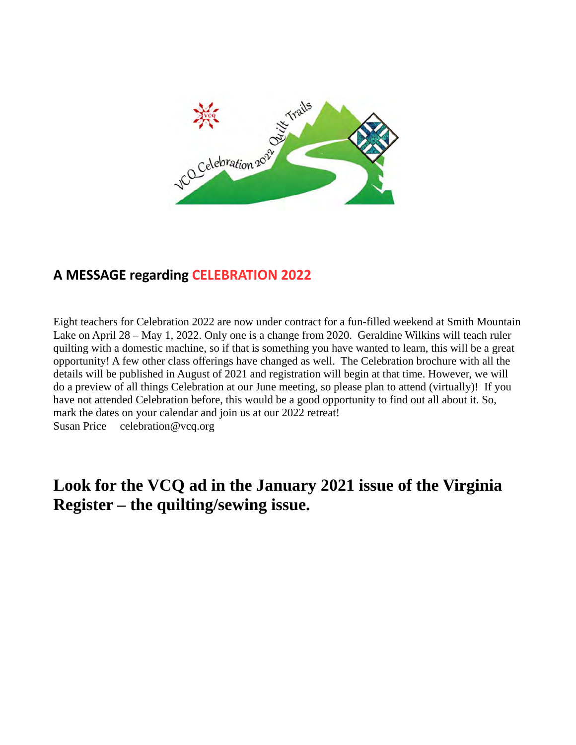

## **A MESSAGE regarding CELEBRATION 2022**

Eight teachers for Celebration 2022 are now under contract for a fun-filled weekend at Smith Mountain Lake on April 28 – May 1, 2022. Only one is a change from 2020. Geraldine Wilkins will teach ruler quilting with a domestic machine, so if that is something you have wanted to learn, this will be a great opportunity! A few other class offerings have changed as well. The Celebration brochure with all the details will be published in August of 2021 and registration will begin at that time. However, we will do a preview of all things Celebration at our June meeting, so please plan to attend (virtually)! If you have not attended Celebration before, this would be a good opportunity to find out all about it. So, mark the dates on your calendar and join us at our 2022 retreat! Susan Price celebration@vcq.org

## **Look for the VCQ ad in the January 2021 issue of the Virginia Register – the quilting/sewing issue.**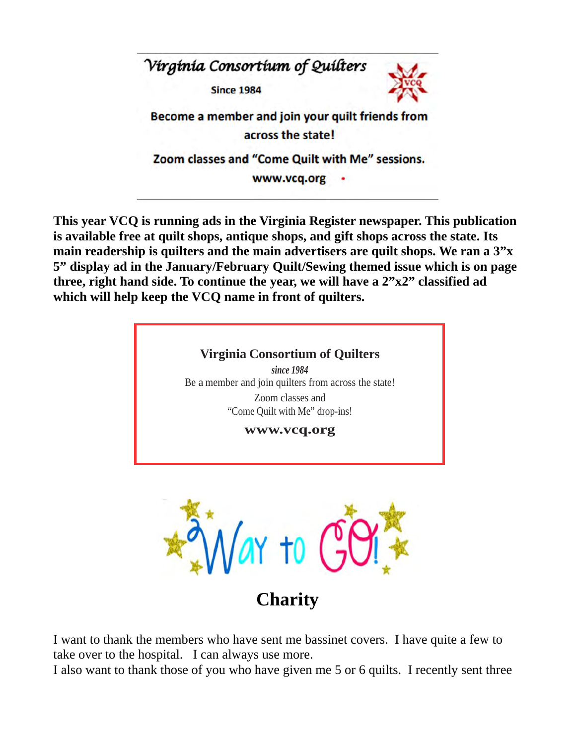

**This year VCQ is running ads in the Virginia Register newspaper. This publication is available free at quilt shops, antique shops, and gift shops across the state. Its main readership is quilters and the main advertisers are quilt shops. We ran a 3"x 5" display ad in the January/February Quilt/Sewing themed issue which is on page three, right hand side. To continue the year, we will have a 2"x2" classified ad which will help keep the VCQ name in front of quilters.** 





**Charity** 

I want to thank the members who have sent me bassinet covers. I have quite a few to take over to the hospital. I can always use more.

I also want to thank those of you who have given me 5 or 6 quilts. I recently sent three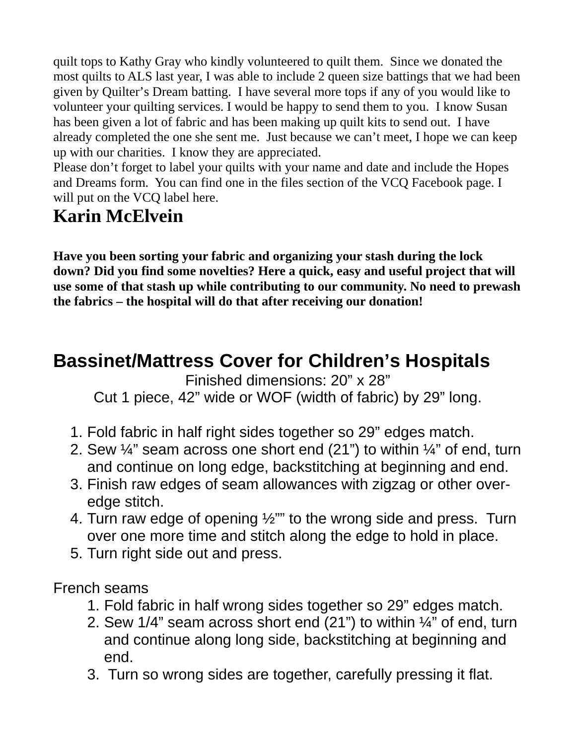quilt tops to Kathy Gray who kindly volunteered to quilt them. Since we donated the most quilts to ALS last year, I was able to include 2 queen size battings that we had been given by Quilter's Dream batting. I have several more tops if any of you would like to volunteer your quilting services. I would be happy to send them to you. I know Susan has been given a lot of fabric and has been making up quilt kits to send out. I have already completed the one she sent me. Just because we can't meet, I hope we can keep up with our charities. I know they are appreciated.

Please don't forget to label your quilts with your name and date and include the Hopes and Dreams form. You can find one in the files section of the VCQ Facebook page. I will put on the VCQ label here.

# **Karin McElvein**

**Have you been sorting your fabric and organizing your stash during the lock down? Did you find some novelties? Here a quick, easy and useful project that will use some of that stash up while contributing to our community. No need to prewash the fabrics – the hospital will do that after receiving our donation!** 

# **Bassinet/Mattress Cover for Children's Hospitals**

Finished dimensions: 20" x 28"

Cut 1 piece, 42" wide or WOF (width of fabric) by 29" long.

- 1. Fold fabric in half right sides together so 29" edges match.
- 2. Sew ¼" seam across one short end (21") to within ¼" of end, turn and continue on long edge, backstitching at beginning and end.
- 3. Finish raw edges of seam allowances with zigzag or other overedge stitch.
- 4. Turn raw edge of opening ½"" to the wrong side and press. Turn over one more time and stitch along the edge to hold in place.
- 5. Turn right side out and press.

French seams

- 1. Fold fabric in half wrong sides together so 29" edges match.
- 2. Sew 1/4" seam across short end (21") to within ¼" of end, turn and continue along long side, backstitching at beginning and end.
- 3. Turn so wrong sides are together, carefully pressing it flat.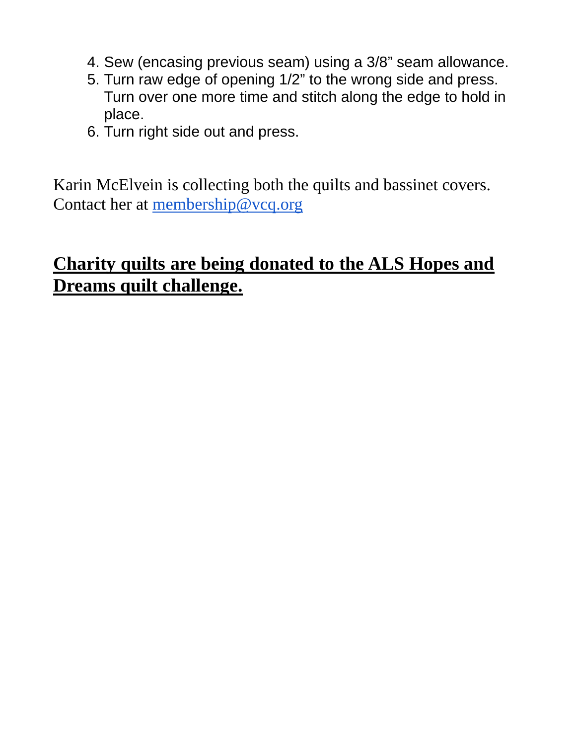- 4. Sew (encasing previous seam) using a 3/8" seam allowance.
- 5. Turn raw edge of opening 1/2" to the wrong side and press. Turn over one more time and stitch along the edge to hold in place.
- 6. Turn right side out and press.

Karin McElvein is collecting both the quilts and bassinet covers. Contact her at membership@vcq.org

# **Charity quilts are being donated to the ALS Hopes and Dreams quilt challenge.**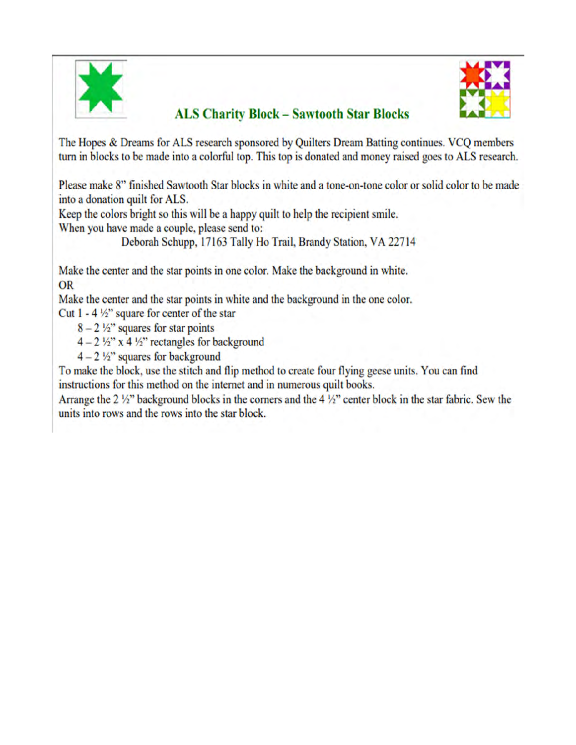

### **ALS Charity Block - Sawtooth Star Blocks**



The Hopes & Dreams for ALS research sponsored by Quilters Dream Batting continues. VCQ members turn in blocks to be made into a colorful top. This top is donated and money raised goes to ALS research.

Please make 8" finished Sawtooth Star blocks in white and a tone-on-tone color or solid color to be made into a donation quilt for ALS.

Keep the colors bright so this will be a happy quilt to help the recipient smile. When you have made a couple, please send to:

Deborah Schupp, 17163 Tally Ho Trail, Brandy Station, VA 22714

Make the center and the star points in one color. Make the background in white. **OR** 

Make the center and the star points in white and the background in the one color.

Cut  $1 - 4 \frac{1}{2}$ " square for center of the star

 $8 - 2\frac{1}{2}$ " squares for star points

 $4-2\frac{1}{2}$ " x 4 ½" rectangles for background

 $4 - 2\frac{1}{2}$ " squares for background

To make the block, use the stitch and flip method to create four flying geese units. You can find instructions for this method on the internet and in numerous quilt books.

Arrange the 2  $\frac{1}{2}$ " background blocks in the corners and the 4  $\frac{1}{2}$ " center block in the star fabric. Sew the units into rows and the rows into the star block.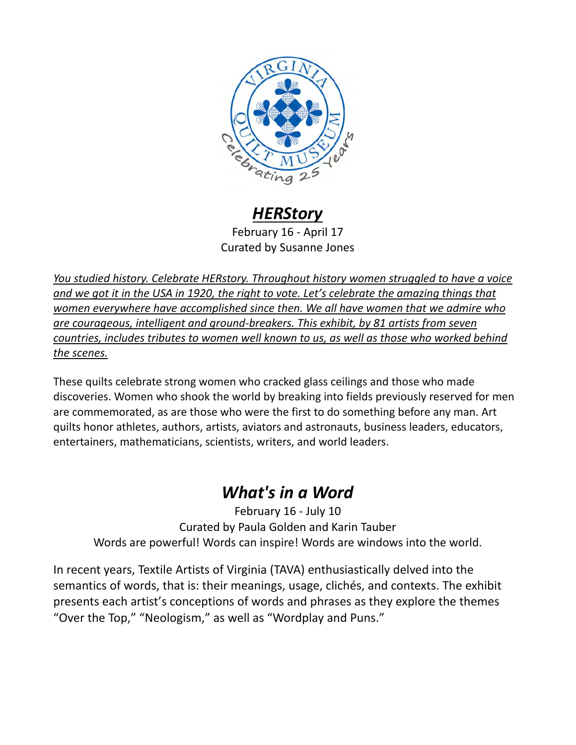

## *HERStory*

February 16 - April 17 Curated by Susanne Jones

*You studied history. Celebrate HERstory. Throughout history women struggled to have a voice and we got it in the USA in 1920, the right to vote. Let's celebrate the amazing things that women everywhere have accomplished since then. We all have women that we admire who are courageous, intelligent and ground-breakers. This exhibit, by 81 artists from seven countries, includes tributes to women well known to us, as well as those who worked behind the scenes.* 

These quilts celebrate strong women who cracked glass ceilings and those who made discoveries. Women who shook the world by breaking into fields previously reserved for men are commemorated, as are those who were the first to do something before any man. Art quilts honor athletes, authors, artists, aviators and astronauts, business leaders, educators, entertainers, mathematicians, scientists, writers, and world leaders.

## *What's in a Word*

February 16 - July 10 Curated by Paula Golden and Karin Tauber Words are powerful! Words can inspire! Words are windows into the world.

In recent years, Textile Artists of Virginia (TAVA) enthusiastically delved into the semantics of words, that is: their meanings, usage, clichés, and contexts. The exhibit presents each artist's conceptions of words and phrases as they explore the themes "Over the Top," "Neologism," as well as "Wordplay and Puns."